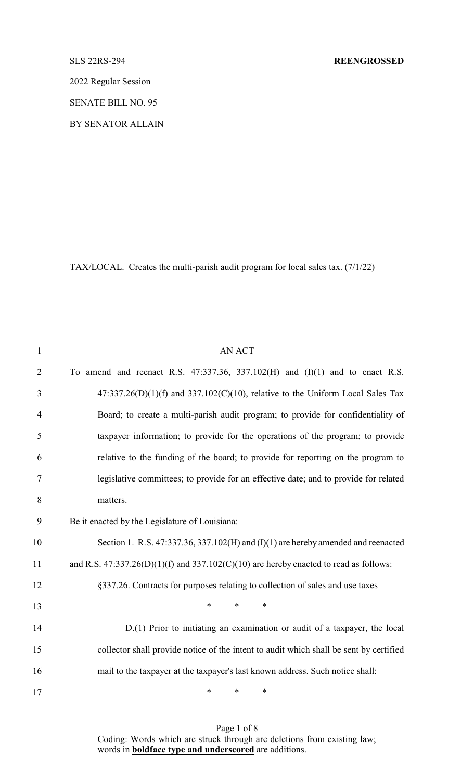2022 Regular Session

SENATE BILL NO. 95

BY SENATOR ALLAIN

TAX/LOCAL. Creates the multi-parish audit program for local sales tax. (7/1/22)

| $\mathbf{1}$   | <b>AN ACT</b>                                                                             |
|----------------|-------------------------------------------------------------------------------------------|
| $\overline{2}$ | To amend and reenact R.S. $47:337.36$ , $337.102(H)$ and $(I)(1)$ and to enact R.S.       |
| 3              | $47:337.26(D)(1)(f)$ and $337.102(C)(10)$ , relative to the Uniform Local Sales Tax       |
| $\overline{4}$ | Board; to create a multi-parish audit program; to provide for confidentiality of          |
| 5              | taxpayer information; to provide for the operations of the program; to provide            |
| 6              | relative to the funding of the board; to provide for reporting on the program to          |
| 7              | legislative committees; to provide for an effective date; and to provide for related      |
| 8              | matters.                                                                                  |
| 9              | Be it enacted by the Legislature of Louisiana:                                            |
| 10             | Section 1. R.S. $47:337.36$ , $337.102(H)$ and $(I)(1)$ are hereby amended and reenacted  |
| 11             | and R.S. $47:337.26(D)(1)(f)$ and $337.102(C)(10)$ are hereby enacted to read as follows: |
| 12             | §337.26. Contracts for purposes relating to collection of sales and use taxes             |
| 13             | $*$ $*$<br>$\ast$<br>∗                                                                    |
| 14             | D.(1) Prior to initiating an examination or audit of a taxpayer, the local                |
| 15             | collector shall provide notice of the intent to audit which shall be sent by certified    |
| 16             | mail to the taxpayer at the taxpayer's last known address. Such notice shall:             |
| 17             | $\ast$<br>$\ast$<br>∗                                                                     |

Page 1 of 8 Coding: Words which are struck through are deletions from existing law; words in **boldface type and underscored** are additions.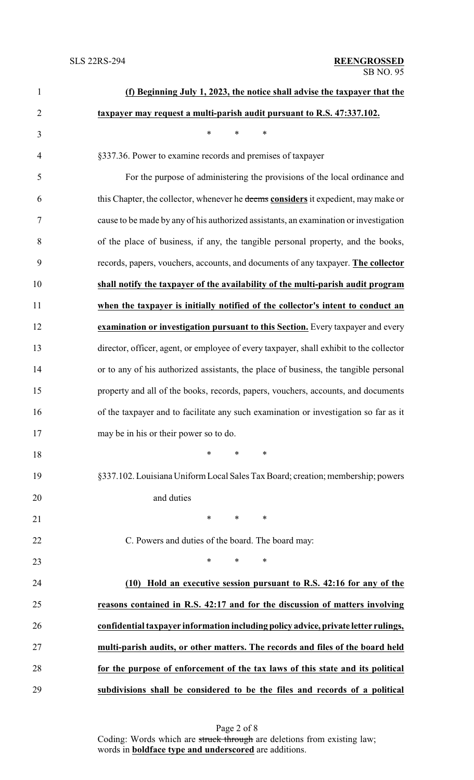| $\mathbf{1}$   | (f) Beginning July 1, 2023, the notice shall advise the taxpayer that the               |
|----------------|-----------------------------------------------------------------------------------------|
| $\overline{2}$ | taxpayer may request a multi-parish audit pursuant to R.S. 47:337.102.                  |
| 3              | $\ast$<br>$\ast$<br>$\ast$                                                              |
| $\overline{4}$ | §337.36. Power to examine records and premises of taxpayer                              |
| 5              | For the purpose of administering the provisions of the local ordinance and              |
| 6              | this Chapter, the collector, whenever he deems considers it expedient, may make or      |
| 7              | cause to be made by any of his authorized assistants, an examination or investigation   |
| 8              | of the place of business, if any, the tangible personal property, and the books,        |
| 9              | records, papers, vouchers, accounts, and documents of any taxpayer. The collector       |
| 10             | shall notify the taxpayer of the availability of the multi-parish audit program         |
| 11             | when the taxpayer is initially notified of the collector's intent to conduct an         |
| 12             | examination or investigation pursuant to this Section. Every taxpayer and every         |
| 13             | director, officer, agent, or employee of every taxpayer, shall exhibit to the collector |
| 14             | or to any of his authorized assistants, the place of business, the tangible personal    |
| 15             | property and all of the books, records, papers, vouchers, accounts, and documents       |
| 16             | of the taxpayer and to facilitate any such examination or investigation so far as it    |
| 17             | may be in his or their power so to do.                                                  |
| 18             | $\ast$<br>$\ast$<br>$\ast$                                                              |
| 19             | §337.102. Louisiana Uniform Local Sales Tax Board; creation; membership; powers         |
| 20             | and duties                                                                              |
| 21             | $\ast$<br>∗<br>∗                                                                        |
| 22             | C. Powers and duties of the board. The board may:                                       |
| 23             | $\ast$<br>*<br>$\ast$                                                                   |
| 24             | Hold an executive session pursuant to R.S. 42:16 for any of the<br>(10)                 |
| 25             | reasons contained in R.S. 42:17 and for the discussion of matters involving             |
| 26             | confidential taxpayer information including policy advice, private letter rulings,      |
| 27             | multi-parish audits, or other matters. The records and files of the board held          |
| 28             | for the purpose of enforcement of the tax laws of this state and its political          |
| 29             | subdivisions shall be considered to be the files and records of a political             |

Page 2 of 8 Coding: Words which are struck through are deletions from existing law; words in **boldface type and underscored** are additions.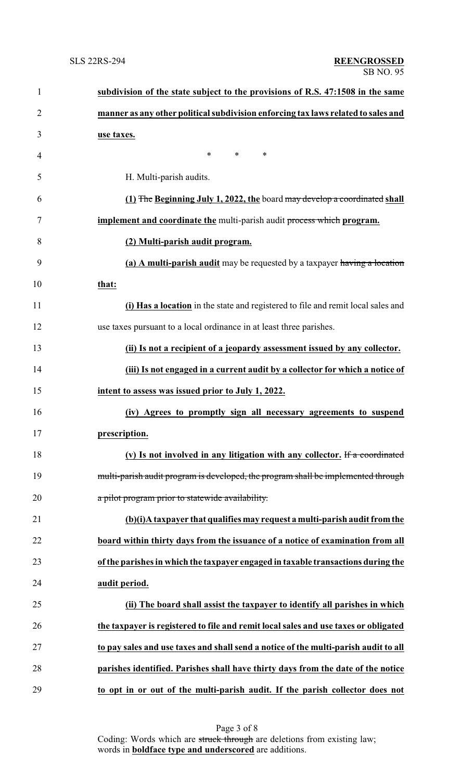| $\mathbf{1}$   | subdivision of the state subject to the provisions of R.S. 47:1508 in the same      |
|----------------|-------------------------------------------------------------------------------------|
| $\overline{2}$ | manner as any other political subdivision enforcing tax laws related to sales and   |
| 3              | use taxes.                                                                          |
| 4              | $*$ $*$<br>$\ast$<br>∗                                                              |
| 5              | H. Multi-parish audits.                                                             |
| 6              | (1) The Beginning July 1, 2022, the board may develop a coordinated shall           |
| 7              | implement and coordinate the multi-parish audit process which program.              |
| 8              | (2) Multi-parish audit program.                                                     |
| 9              | (a) A multi-parish audit may be requested by a taxpayer having a location           |
| 10             | that:                                                                               |
| 11             | (i) Has a location in the state and registered to file and remit local sales and    |
| 12             | use taxes pursuant to a local ordinance in at least three parishes.                 |
| 13             | (ii) Is not a recipient of a jeopardy assessment issued by any collector.           |
| 14             | (iii) Is not engaged in a current audit by a collector for which a notice of        |
| 15             | intent to assess was issued prior to July 1, 2022.                                  |
| 16             | (iv) Agrees to promptly sign all necessary agreements to suspend                    |
| 17             | prescription.                                                                       |
| 18             | (v) Is not involved in any litigation with any collector. If a coordinated          |
| 19             | multi-parish audit program is developed, the program shall be implemented through   |
| 20             | a pilot program prior to statewide availability.                                    |
| 21             | (b)(i)A taxpayer that qualifies may request a multi-parish audit from the           |
| 22             | board within thirty days from the issuance of a notice of examination from all      |
| 23             | of the parishes in which the taxpayer engaged in taxable transactions during the    |
| 24             | audit period.                                                                       |
| 25             | (ii) The board shall assist the taxpayer to identify all parishes in which          |
| 26             | the taxpayer is registered to file and remit local sales and use taxes or obligated |
| 27             | to pay sales and use taxes and shall send a notice of the multi-parish audit to all |
| 28             | parishes identified. Parishes shall have thirty days from the date of the notice    |
| 29             | to opt in or out of the multi-parish audit. If the parish collector does not        |

Page 3 of 8 Coding: Words which are struck through are deletions from existing law; words in **boldface type and underscored** are additions.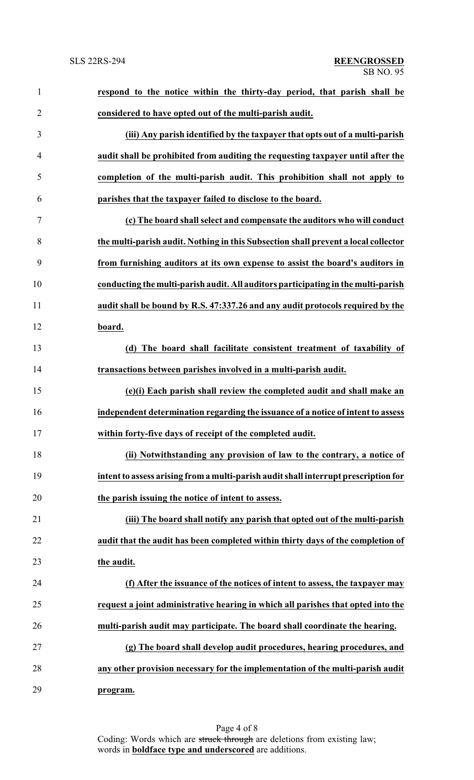| $\mathbf{1}$   | respond to the notice within the thirty-day period, that parish shall be            |
|----------------|-------------------------------------------------------------------------------------|
| $\overline{2}$ | considered to have opted out of the multi-parish audit.                             |
| 3              | (iii) Any parish identified by the taxpayer that opts out of a multi-parish         |
| 4              | audit shall be prohibited from auditing the requesting taxpayer until after the     |
| 5              | completion of the multi-parish audit. This prohibition shall not apply to           |
| 6              | parishes that the taxpayer failed to disclose to the board.                         |
| 7              | (c) The board shall select and compensate the auditors who will conduct             |
| 8              | the multi-parish audit. Nothing in this Subsection shall prevent a local collector  |
| 9              | from furnishing auditors at its own expense to assist the board's auditors in       |
| 10             | conducting the multi-parish audit. All auditors participating in the multi-parish   |
| 11             | audit shall be bound by R.S. 47:337.26 and any audit protocols required by the      |
| 12             | board.                                                                              |
| 13             | (d) The board shall facilitate consistent treatment of taxability of                |
| 14             | transactions between parishes involved in a multi-parish audit.                     |
| 15             | (e)(i) Each parish shall review the completed audit and shall make an               |
| 16             | independent determination regarding the issuance of a notice of intent to assess    |
|                | within forty-five days of receipt of the completed audit.                           |
| 18             | (ii) Notwithstanding any provision of law to the contrary, a notice of              |
| 19             | intent to assess arising from a multi-parish audit shall interrupt prescription for |
| 20             | the parish issuing the notice of intent to assess.                                  |
| 21             | (iii) The board shall notify any parish that opted out of the multi-parish          |
| 22             | audit that the audit has been completed within thirty days of the completion of     |
| 23             | the audit.                                                                          |
| 24             | (f) After the issuance of the notices of intent to assess, the taxpayer may         |
| 25             | request a joint administrative hearing in which all parishes that opted into the    |
| 26             | multi-parish audit may participate. The board shall coordinate the hearing.         |
| 27             | (g) The board shall develop audit procedures, hearing procedures, and               |
| 28             | any other provision necessary for the implementation of the multi-parish audit      |
| 29             | program.                                                                            |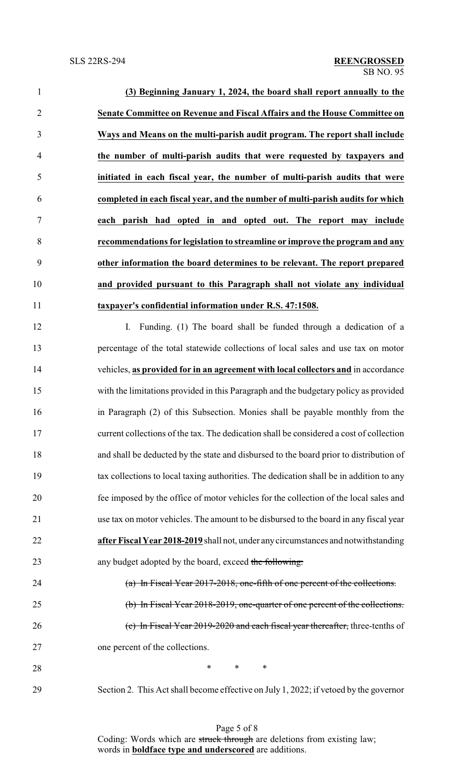| $\mathbf{1}$   | (3) Beginning January 1, 2024, the board shall report annually to the                   |
|----------------|-----------------------------------------------------------------------------------------|
| $\overline{2}$ | Senate Committee on Revenue and Fiscal Affairs and the House Committee on               |
| 3              | Ways and Means on the multi-parish audit program. The report shall include              |
| $\overline{4}$ | the number of multi-parish audits that were requested by taxpayers and                  |
| 5              | initiated in each fiscal year, the number of multi-parish audits that were              |
| 6              | completed in each fiscal year, and the number of multi-parish audits for which          |
| $\tau$         | each parish had opted in and opted out. The report may include                          |
| 8              | recommendations for legislation to streamline or improve the program and any            |
| 9              | other information the board determines to be relevant. The report prepared              |
| 10             | and provided pursuant to this Paragraph shall not violate any individual                |
| 11             | taxpayer's confidential information under R.S. 47:1508.                                 |
| 12             | Funding. (1) The board shall be funded through a dedication of a<br>$\mathbf{I}$ .      |
| 13             | percentage of the total statewide collections of local sales and use tax on motor       |
| 14             | vehicles, as provided for in an agreement with local collectors and in accordance       |
| 15             | with the limitations provided in this Paragraph and the budgetary policy as provided    |
| 16             | in Paragraph (2) of this Subsection. Monies shall be payable monthly from the           |
| 17             | current collections of the tax. The dedication shall be considered a cost of collection |
| 18             | and shall be deducted by the state and disbursed to the board prior to distribution of  |
| 19             | tax collections to local taxing authorities. The dedication shall be in addition to any |
| 20             | fee imposed by the office of motor vehicles for the collection of the local sales and   |
| 21             | use tax on motor vehicles. The amount to be disbursed to the board in any fiscal year   |
| 22             | after Fiscal Year 2018-2019 shall not, under any circumstances and notwithstanding      |
| 23             | any budget adopted by the board, exceed the following:                                  |
| 24             | (a) In Fiscal Year 2017-2018, one-fifth of one percent of the collections.              |
| 25             | (b) In Fiscal Year 2018-2019, one-quarter of one percent of the collections.            |
| 26             | (c) In Fiscal Year 2019-2020 and each fiscal year thereafter, three-tenths of           |
| 27             | one percent of the collections.                                                         |
| 28             | ∗<br>∗<br>∗                                                                             |
| 29             | Section 2. This Act shall become effective on July 1, 2022; if vetoed by the governor   |

Page 5 of 8 Coding: Words which are struck through are deletions from existing law; words in **boldface type and underscored** are additions.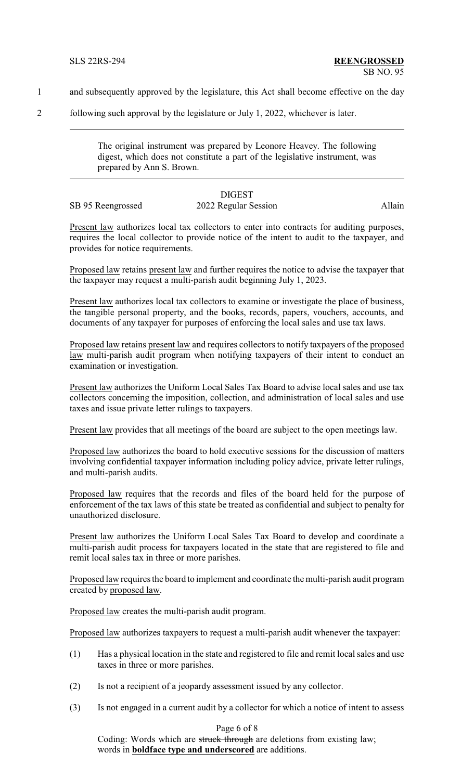- 1 and subsequently approved by the legislature, this Act shall become effective on the day
- 2 following such approval by the legislature or July 1, 2022, whichever is later.

The original instrument was prepared by Leonore Heavey. The following digest, which does not constitute a part of the legislative instrument, was prepared by Ann S. Brown.

|                   | <b>DIGEST</b>        |        |
|-------------------|----------------------|--------|
| SB 95 Reengrossed | 2022 Regular Session | Allain |

Present law authorizes local tax collectors to enter into contracts for auditing purposes, requires the local collector to provide notice of the intent to audit to the taxpayer, and provides for notice requirements.

Proposed law retains present law and further requires the notice to advise the taxpayer that the taxpayer may request a multi-parish audit beginning July 1, 2023.

Present law authorizes local tax collectors to examine or investigate the place of business, the tangible personal property, and the books, records, papers, vouchers, accounts, and documents of any taxpayer for purposes of enforcing the local sales and use tax laws.

Proposed law retains present law and requires collectors to notify taxpayers of the proposed law multi-parish audit program when notifying taxpayers of their intent to conduct an examination or investigation.

Present law authorizes the Uniform Local Sales Tax Board to advise local sales and use tax collectors concerning the imposition, collection, and administration of local sales and use taxes and issue private letter rulings to taxpayers.

Present law provides that all meetings of the board are subject to the open meetings law.

Proposed law authorizes the board to hold executive sessions for the discussion of matters involving confidential taxpayer information including policy advice, private letter rulings, and multi-parish audits.

Proposed law requires that the records and files of the board held for the purpose of enforcement of the tax laws of this state be treated as confidential and subject to penalty for unauthorized disclosure.

Present law authorizes the Uniform Local Sales Tax Board to develop and coordinate a multi-parish audit process for taxpayers located in the state that are registered to file and remit local sales tax in three or more parishes.

Proposed law requires the board to implement and coordinate the multi-parish audit program created by proposed law.

Proposed law creates the multi-parish audit program.

Proposed law authorizes taxpayers to request a multi-parish audit whenever the taxpayer:

- (1) Has a physical location in the state and registered to file and remit local sales and use taxes in three or more parishes.
- (2) Is not a recipient of a jeopardy assessment issued by any collector.
- (3) Is not engaged in a current audit by a collector for which a notice of intent to assess

# Page 6 of 8

Coding: Words which are struck through are deletions from existing law; words in **boldface type and underscored** are additions.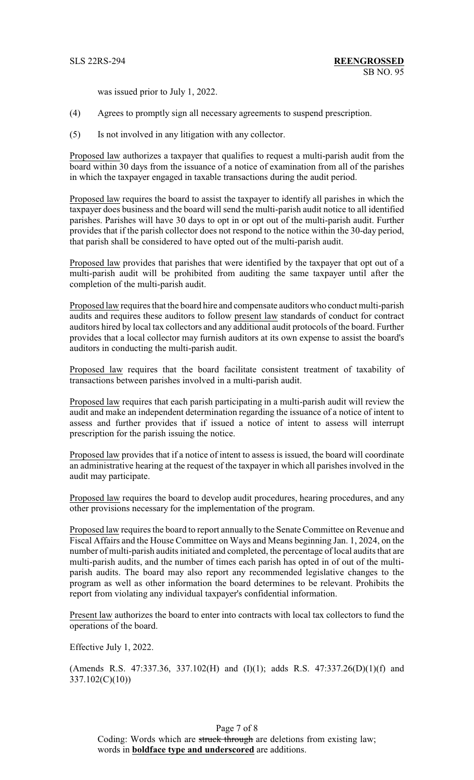was issued prior to July 1, 2022.

- (4) Agrees to promptly sign all necessary agreements to suspend prescription.
- (5) Is not involved in any litigation with any collector.

Proposed law authorizes a taxpayer that qualifies to request a multi-parish audit from the board within 30 days from the issuance of a notice of examination from all of the parishes in which the taxpayer engaged in taxable transactions during the audit period.

Proposed law requires the board to assist the taxpayer to identify all parishes in which the taxpayer does business and the board will send the multi-parish audit notice to all identified parishes. Parishes will have 30 days to opt in or opt out of the multi-parish audit. Further provides that if the parish collector does not respond to the notice within the 30-day period, that parish shall be considered to have opted out of the multi-parish audit.

Proposed law provides that parishes that were identified by the taxpayer that opt out of a multi-parish audit will be prohibited from auditing the same taxpayer until after the completion of the multi-parish audit.

Proposed law requires that the board hire and compensate auditors who conduct multi-parish audits and requires these auditors to follow present law standards of conduct for contract auditors hired by local tax collectors and any additional audit protocols of the board. Further provides that a local collector may furnish auditors at its own expense to assist the board's auditors in conducting the multi-parish audit.

Proposed law requires that the board facilitate consistent treatment of taxability of transactions between parishes involved in a multi-parish audit.

Proposed law requires that each parish participating in a multi-parish audit will review the audit and make an independent determination regarding the issuance of a notice of intent to assess and further provides that if issued a notice of intent to assess will interrupt prescription for the parish issuing the notice.

Proposed law provides that if a notice of intent to assess is issued, the board will coordinate an administrative hearing at the request of the taxpayer in which all parishes involved in the audit may participate.

Proposed law requires the board to develop audit procedures, hearing procedures, and any other provisions necessary for the implementation of the program.

Proposed law requires the board to report annually to the Senate Committee on Revenue and Fiscal Affairs and the House Committee on Ways and Means beginning Jan. 1, 2024, on the number of multi-parish audits initiated and completed, the percentage of local audits that are multi-parish audits, and the number of times each parish has opted in of out of the multiparish audits. The board may also report any recommended legislative changes to the program as well as other information the board determines to be relevant. Prohibits the report from violating any individual taxpayer's confidential information.

Present law authorizes the board to enter into contracts with local tax collectors to fund the operations of the board.

Effective July 1, 2022.

(Amends R.S. 47:337.36, 337.102(H) and  $(I)(1)$ ; adds R.S. 47:337.26(D)(1)(f) and 337.102(C)(10))